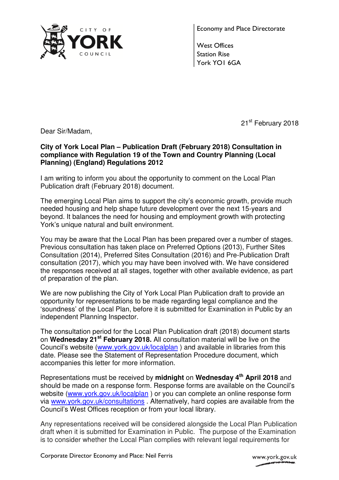

Economy and Place Directorate

West Offices Station Rise York YO1 6GA

21<sup>st</sup> February 2018

Dear Sir/Madam,

## **City of York Local Plan – Publication Draft (February 2018) Consultation in compliance with Regulation 19 of the Town and Country Planning (Local Planning) (England) Regulations 2012**

I am writing to inform you about the opportunity to comment on the Local Plan Publication draft (February 2018) document.

The emerging Local Plan aims to support the city's economic growth, provide much needed housing and help shape future development over the next 15-years and beyond. It balances the need for housing and employment growth with protecting York's unique natural and built environment.

You may be aware that the Local Plan has been prepared over a number of stages. Previous consultation has taken place on Preferred Options (2013), Further Sites Consultation (2014), Preferred Sites Consultation (2016) and Pre-Publication Draft consultation (2017), which you may have been involved with. We have considered the responses received at all stages, together with other available evidence, as part of preparation of the plan.

We are now publishing the City of York Local Plan Publication draft to provide an opportunity for representations to be made regarding legal compliance and the 'soundness' of the Local Plan, before it is submitted for Examination in Public by an independent Planning Inspector.

The consultation period for the Local Plan Publication draft (2018) document starts on **Wednesday 21st February 2018.** All consultation material will be live on the Council's website (www.york.gov.uk/localplan ) and available in libraries from this date. Please see the Statement of Representation Procedure document, which accompanies this letter for more information.

Representations must be received by **midnight** on **Wednesday 4th April 2018** and should be made on a response form. Response forms are available on the Council's website (www.york.gov.uk/localplan ) or you can complete an online response form via www.york.gov.uk/consultations . Alternatively, hard copies are available from the Council's West Offices reception or from your local library.

Any representations received will be considered alongside the Local Plan Publication draft when it is submitted for Examination in Public. The purpose of the Examination is to consider whether the Local Plan complies with relevant legal requirements for